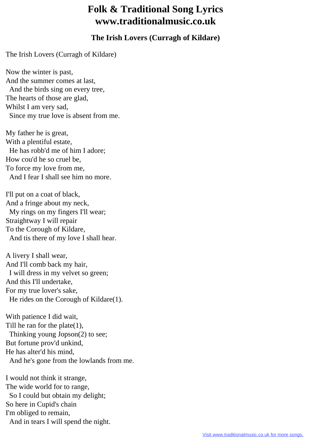## **Folk & Traditional Song Lyrics www.traditionalmusic.co.uk**

## **The Irish Lovers (Curragh of Kildare)**

The Irish Lovers (Curragh of Kildare)

Now the winter is past, And the summer comes at last, And the birds sing on every tree, The hearts of those are glad, Whilst I am very sad, Since my true love is absent from me.

My father he is great, With a plentiful estate, He has robb'd me of him I adore; How cou'd he so cruel be, To force my love from me, And I fear I shall see him no more.

I'll put on a coat of black, And a fringe about my neck, My rings on my fingers I'll wear; Straightway I will repair To the Corough of Kildare, And tis there of my love I shall hear.

A livery I shall wear, And I'll comb back my hair, I will dress in my velvet so green; And this I'll undertake, For my true lover's sake, He rides on the Corough of Kildare(1).

With patience I did wait, Till he ran for the plate $(1)$ , Thinking young Jopson(2) to see; But fortune prov'd unkind, He has alter'd his mind, And he's gone from the lowlands from me.

I would not think it strange, The wide world for to range, So I could but obtain my delight; So here in Cupid's chain I'm obliged to remain, And in tears I will spend the night.